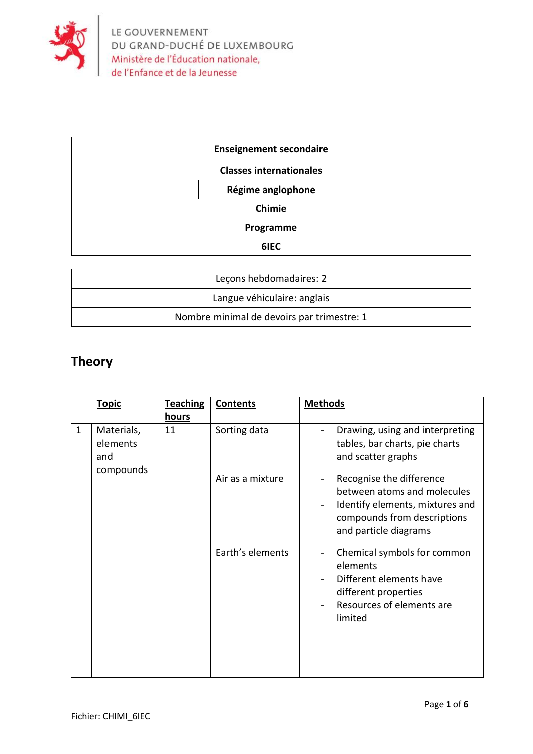

| <b>Enseignement secondaire</b> |  |  |  |  |
|--------------------------------|--|--|--|--|
| <b>Classes internationales</b> |  |  |  |  |
| Régime anglophone              |  |  |  |  |
| <b>Chimie</b>                  |  |  |  |  |
| Programme                      |  |  |  |  |
| 6IEC                           |  |  |  |  |

| Lecons hebdomadaires: 2                    |
|--------------------------------------------|
| Langue véhiculaire: anglais                |
| Nombre minimal de devoirs par trimestre: 1 |

## **Theory**

|              | <b>Topic</b>                               | <b>Teaching</b> | <b>Contents</b>  | <b>Methods</b>                                                                                                                                                                 |
|--------------|--------------------------------------------|-----------------|------------------|--------------------------------------------------------------------------------------------------------------------------------------------------------------------------------|
|              |                                            | <u>hours</u>    |                  |                                                                                                                                                                                |
| $\mathbf{1}$ | Materials,<br>elements<br>and<br>compounds | 11              | Sorting data     | Drawing, using and interpreting<br>tables, bar charts, pie charts<br>and scatter graphs                                                                                        |
|              |                                            |                 | Air as a mixture | Recognise the difference<br>$\overline{\phantom{a}}$<br>between atoms and molecules<br>Identify elements, mixtures and<br>compounds from descriptions<br>and particle diagrams |
|              |                                            |                 | Earth's elements | Chemical symbols for common<br>elements<br>Different elements have<br>different properties<br>Resources of elements are<br>limited                                             |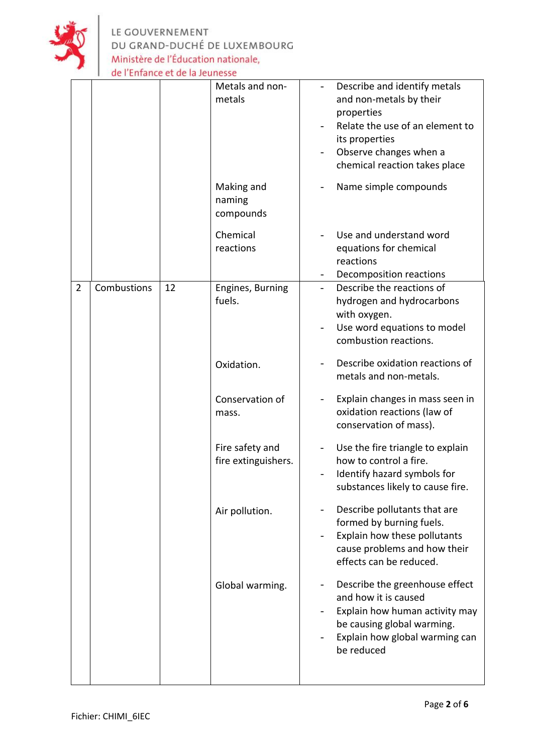

LE GOUVERNEMENT<br>DU GRAND-DUCHÉ DE LUXEMBOURG<br>Ministère de l'Éducation nationale,<br>de l'Enfance et de la Jeunesse

|                |             |    | Metals and non-<br>metals<br>Making and | Describe and identify metals<br>and non-metals by their<br>properties<br>Relate the use of an element to<br>its properties<br>Observe changes when a<br>chemical reaction takes place<br>Name simple compounds |
|----------------|-------------|----|-----------------------------------------|----------------------------------------------------------------------------------------------------------------------------------------------------------------------------------------------------------------|
|                |             |    | naming<br>compounds                     |                                                                                                                                                                                                                |
|                |             |    | Chemical<br>reactions                   | Use and understand word<br>equations for chemical<br>reactions<br>Decomposition reactions                                                                                                                      |
| $\overline{2}$ | Combustions | 12 | Engines, Burning<br>fuels.              | Describe the reactions of<br>hydrogen and hydrocarbons<br>with oxygen.<br>Use word equations to model<br>combustion reactions.                                                                                 |
|                |             |    | Oxidation.                              | Describe oxidation reactions of<br>metals and non-metals.                                                                                                                                                      |
|                |             |    | Conservation of<br>mass.                | Explain changes in mass seen in<br>oxidation reactions (law of<br>conservation of mass).                                                                                                                       |
|                |             |    | Fire safety and<br>fire extinguishers.  | Use the fire triangle to explain<br>how to control a fire.<br>Identify hazard symbols for<br>substances likely to cause fire.                                                                                  |
|                |             |    | Air pollution.                          | Describe pollutants that are<br>formed by burning fuels.<br>Explain how these pollutants<br>cause problems and how their<br>effects can be reduced.                                                            |
|                |             |    | Global warming.                         | Describe the greenhouse effect<br>and how it is caused<br>Explain how human activity may<br>be causing global warming.<br>Explain how global warming can<br>be reduced                                         |
|                |             |    |                                         |                                                                                                                                                                                                                |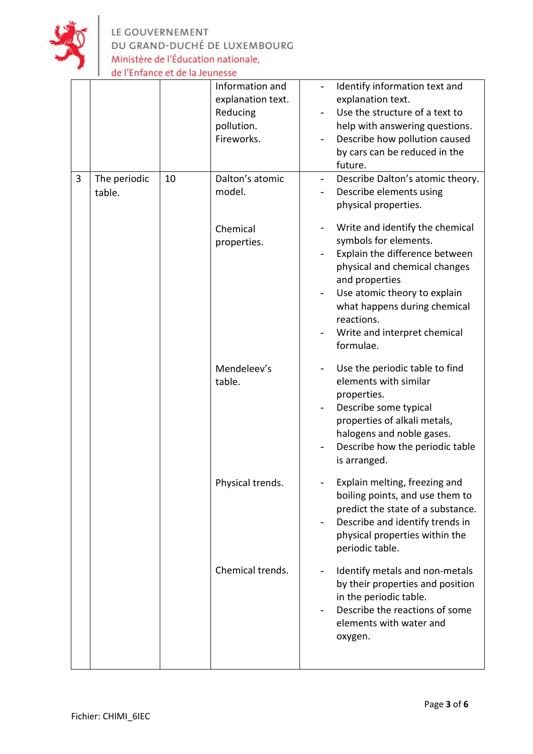

LE GOUVERNEMENT<br>DU GRAND-DUCHÉ DE LUXEMBOURG Ministère de l'Éducation nationale, de l'Enfance et de la Jeunesse

|   |                        |    | Information and<br>explanation text.<br>Reducing<br>pollution.<br>Fireworks. | Identify information text and<br>explanation text.<br>Use the structure of a text to<br>help with answering questions.<br>Describe how pollution caused<br>by cars can be reduced in the<br>future.                                                                      |
|---|------------------------|----|------------------------------------------------------------------------------|--------------------------------------------------------------------------------------------------------------------------------------------------------------------------------------------------------------------------------------------------------------------------|
| 3 | The periodic<br>table. | 10 | Dalton's atomic<br>model.                                                    | Describe Dalton's atomic theory.<br>Describe elements using<br>physical properties.                                                                                                                                                                                      |
|   |                        |    | Chemical<br>properties.                                                      | Write and identify the chemical<br>symbols for elements.<br>Explain the difference between<br>physical and chemical changes<br>and properties<br>Use atomic theory to explain<br>what happens during chemical<br>reactions.<br>Write and interpret chemical<br>formulae. |
|   |                        |    | Mendeleev's<br>table.                                                        | Use the periodic table to find<br>elements with similar<br>properties.<br>Describe some typical<br>properties of alkali metals,<br>halogens and noble gases.<br>Describe how the periodic table<br>is arranged.                                                          |
|   |                        |    | Physical trends.                                                             | Explain melting, freezing and<br>boiling points, and use them to<br>predict the state of a substance.<br>Describe and identify trends in<br>physical properties within the<br>periodic table.                                                                            |
|   |                        |    | Chemical trends.                                                             | Identify metals and non-metals<br>by their properties and position<br>in the periodic table.<br>Describe the reactions of some<br>elements with water and<br>oxygen.                                                                                                     |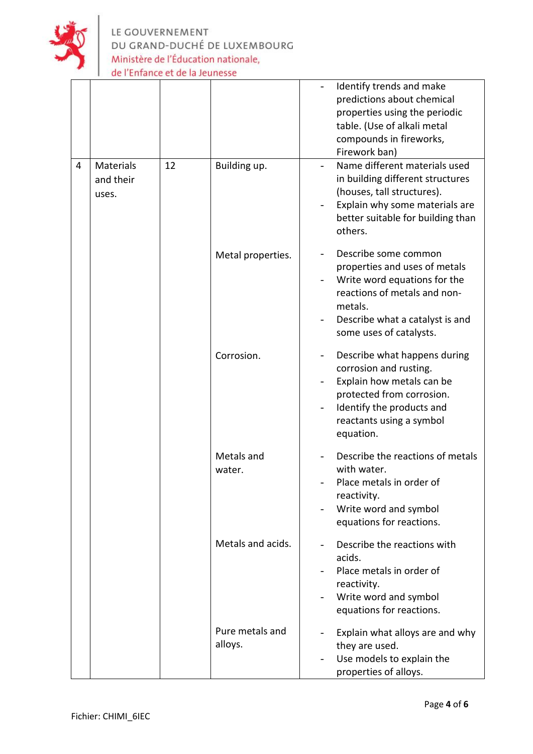

|   |                                        |    |                            | Identify trends and make<br>predictions about chemical<br>properties using the periodic<br>table. (Use of alkali metal<br>compounds in fireworks,<br>Firework ban)                             |
|---|----------------------------------------|----|----------------------------|------------------------------------------------------------------------------------------------------------------------------------------------------------------------------------------------|
| 4 | <b>Materials</b><br>and their<br>uses. | 12 | Building up.               | Name different materials used<br>in building different structures<br>(houses, tall structures).<br>Explain why some materials are<br>better suitable for building than<br>others.              |
|   |                                        |    | Metal properties.          | Describe some common<br>properties and uses of metals<br>Write word equations for the<br>reactions of metals and non-<br>metals.<br>Describe what a catalyst is and<br>some uses of catalysts. |
|   |                                        |    | Corrosion.                 | Describe what happens during<br>corrosion and rusting.<br>Explain how metals can be<br>protected from corrosion.<br>Identify the products and<br>reactants using a symbol<br>equation.         |
|   |                                        |    | Metals and<br>water.       | Describe the reactions of metals<br>with water.<br>Place metals in order of<br>reactivity.<br>Write word and symbol<br>equations for reactions.                                                |
|   |                                        |    | Metals and acids.          | Describe the reactions with<br>acids.<br>Place metals in order of<br>reactivity.<br>Write word and symbol<br>equations for reactions.                                                          |
|   |                                        |    | Pure metals and<br>alloys. | Explain what alloys are and why<br>they are used.<br>Use models to explain the<br>properties of alloys.                                                                                        |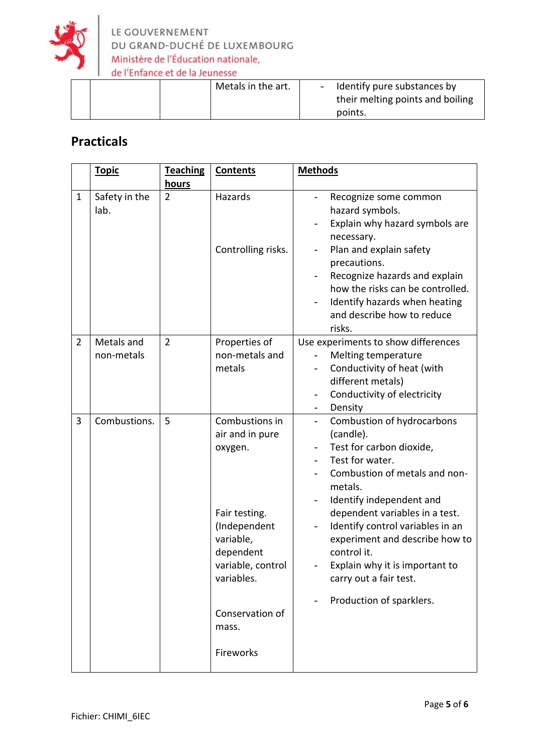

| points. |
|---------|
|---------|

## **Practicals**

|                | <b>Topic</b>             | <b>Teaching</b><br>hours | <b>Contents</b>                                                                                                                            | <b>Methods</b>                                                                                                                                                                                                                                                                                                                                                                                            |
|----------------|--------------------------|--------------------------|--------------------------------------------------------------------------------------------------------------------------------------------|-----------------------------------------------------------------------------------------------------------------------------------------------------------------------------------------------------------------------------------------------------------------------------------------------------------------------------------------------------------------------------------------------------------|
| $\mathbf{1}$   | Safety in the<br>lab.    | $\overline{2}$           | Hazards<br>Controlling risks.                                                                                                              | Recognize some common<br>hazard symbols.<br>Explain why hazard symbols are<br>necessary.<br>Plan and explain safety<br>precautions.<br>Recognize hazards and explain<br>how the risks can be controlled.<br>Identify hazards when heating<br>and describe how to reduce<br>risks.                                                                                                                         |
| $\overline{2}$ | Metals and<br>non-metals | $\overline{2}$           | Properties of<br>non-metals and<br>metals                                                                                                  | Use experiments to show differences<br>Melting temperature<br>Conductivity of heat (with<br>different metals)<br>Conductivity of electricity<br>$\overline{\phantom{0}}$<br>Density                                                                                                                                                                                                                       |
| 3              | Combustions.             | 5                        | Combustions in<br>air and in pure<br>oxygen.<br>Fair testing.<br>(Independent<br>variable,<br>dependent<br>variable, control<br>variables. | Combustion of hydrocarbons<br>$\overline{\phantom{0}}$<br>(candle).<br>Test for carbon dioxide,<br>Test for water.<br>Combustion of metals and non-<br>metals.<br>Identify independent and<br>dependent variables in a test.<br>Identify control variables in an<br>experiment and describe how to<br>control it.<br>Explain why it is important to<br>carry out a fair test.<br>Production of sparklers. |
|                |                          |                          | Conservation of<br>mass.<br>Fireworks                                                                                                      |                                                                                                                                                                                                                                                                                                                                                                                                           |